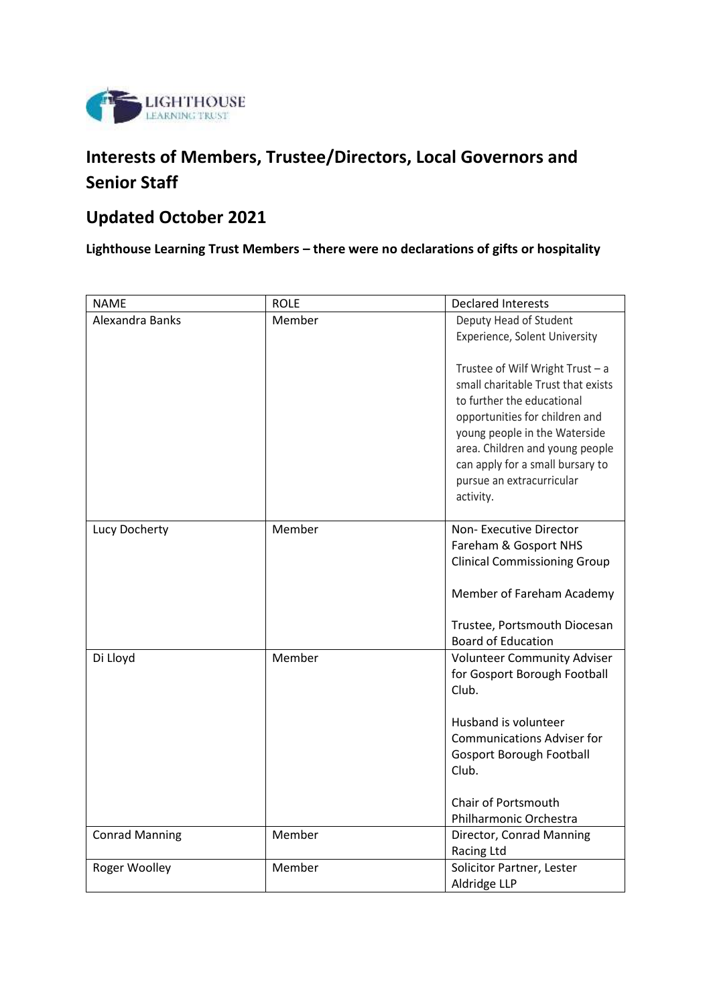

# **Interests of Members, Trustee/Directors, Local Governors and Senior Staff**

## **Updated October 2021**

**Lighthouse Learning Trust Members – there were no declarations of gifts or hospitality** 

| <b>NAME</b>           | <b>ROLE</b> | <b>Declared Interests</b>                                                                                                                                                                                                                                                                  |
|-----------------------|-------------|--------------------------------------------------------------------------------------------------------------------------------------------------------------------------------------------------------------------------------------------------------------------------------------------|
| Alexandra Banks       | Member      | Deputy Head of Student                                                                                                                                                                                                                                                                     |
|                       |             | Experience, Solent University                                                                                                                                                                                                                                                              |
|                       |             | Trustee of Wilf Wright Trust $- a$<br>small charitable Trust that exists<br>to further the educational<br>opportunities for children and<br>young people in the Waterside<br>area. Children and young people<br>can apply for a small bursary to<br>pursue an extracurricular<br>activity. |
| Lucy Docherty         | Member      | Non-Executive Director                                                                                                                                                                                                                                                                     |
|                       |             | Fareham & Gosport NHS                                                                                                                                                                                                                                                                      |
|                       |             | <b>Clinical Commissioning Group</b>                                                                                                                                                                                                                                                        |
|                       |             |                                                                                                                                                                                                                                                                                            |
|                       |             | Member of Fareham Academy                                                                                                                                                                                                                                                                  |
|                       |             |                                                                                                                                                                                                                                                                                            |
|                       |             | Trustee, Portsmouth Diocesan<br><b>Board of Education</b>                                                                                                                                                                                                                                  |
| Di Lloyd              | Member      | <b>Volunteer Community Adviser</b>                                                                                                                                                                                                                                                         |
|                       |             | for Gosport Borough Football                                                                                                                                                                                                                                                               |
|                       |             | Club.                                                                                                                                                                                                                                                                                      |
|                       |             |                                                                                                                                                                                                                                                                                            |
|                       |             | Husband is volunteer                                                                                                                                                                                                                                                                       |
|                       |             | <b>Communications Adviser for</b>                                                                                                                                                                                                                                                          |
|                       |             | <b>Gosport Borough Football</b>                                                                                                                                                                                                                                                            |
|                       |             | Club.                                                                                                                                                                                                                                                                                      |
|                       |             |                                                                                                                                                                                                                                                                                            |
|                       |             | Chair of Portsmouth                                                                                                                                                                                                                                                                        |
|                       |             | Philharmonic Orchestra                                                                                                                                                                                                                                                                     |
| <b>Conrad Manning</b> | Member      | Director, Conrad Manning                                                                                                                                                                                                                                                                   |
| Roger Woolley         | Member      | Racing Ltd                                                                                                                                                                                                                                                                                 |
|                       |             | Solicitor Partner, Lester<br>Aldridge LLP                                                                                                                                                                                                                                                  |
|                       |             |                                                                                                                                                                                                                                                                                            |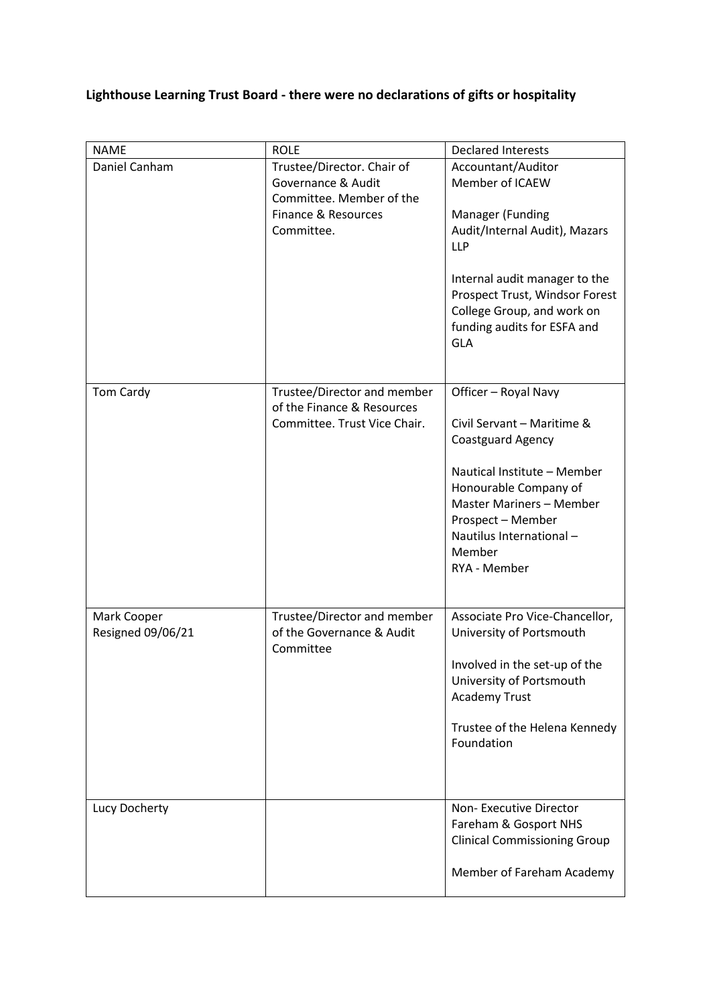## **Lighthouse Learning Trust Board - there were no declarations of gifts or hospitality**

| <b>NAME</b>                      | <b>ROLE</b>                                                                                                       | <b>Declared Interests</b>                                                                                                                                                                                                                              |
|----------------------------------|-------------------------------------------------------------------------------------------------------------------|--------------------------------------------------------------------------------------------------------------------------------------------------------------------------------------------------------------------------------------------------------|
| Daniel Canham                    | Trustee/Director. Chair of<br>Governance & Audit<br>Committee. Member of the<br>Finance & Resources<br>Committee. | Accountant/Auditor<br>Member of ICAEW<br>Manager (Funding<br>Audit/Internal Audit), Mazars<br><b>LLP</b><br>Internal audit manager to the<br>Prospect Trust, Windsor Forest<br>College Group, and work on<br>funding audits for ESFA and<br><b>GLA</b> |
| Tom Cardy                        | Trustee/Director and member<br>of the Finance & Resources<br>Committee. Trust Vice Chair.                         | Officer - Royal Navy<br>Civil Servant - Maritime &<br>Coastguard Agency<br>Nautical Institute - Member<br>Honourable Company of<br>Master Mariners - Member<br>Prospect - Member<br>Nautilus International-<br>Member<br>RYA - Member                  |
| Mark Cooper<br>Resigned 09/06/21 | Trustee/Director and member<br>of the Governance & Audit<br>Committee                                             | Associate Pro Vice-Chancellor,<br>University of Portsmouth<br>Involved in the set-up of the<br>University of Portsmouth<br><b>Academy Trust</b><br>Trustee of the Helena Kennedy<br>Foundation                                                         |
| Lucy Docherty                    |                                                                                                                   | Non-Executive Director<br>Fareham & Gosport NHS<br><b>Clinical Commissioning Group</b><br>Member of Fareham Academy                                                                                                                                    |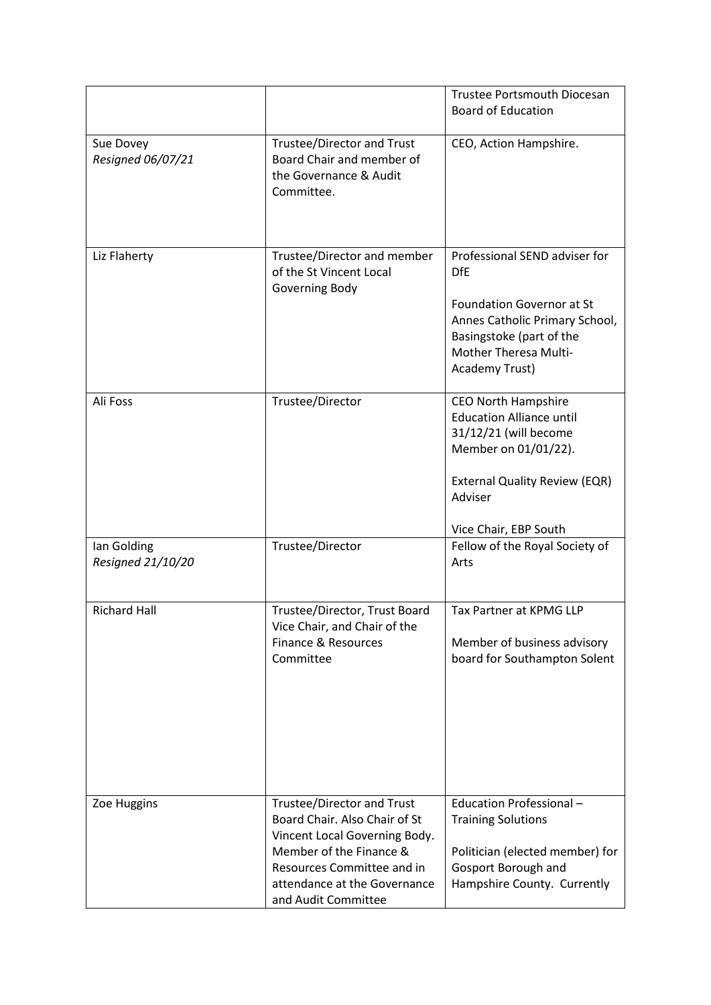|                                  |                                                                                                                                                                                                                     | <b>Trustee Portsmouth Diocesan</b><br><b>Board of Education</b>                                                                                                                            |
|----------------------------------|---------------------------------------------------------------------------------------------------------------------------------------------------------------------------------------------------------------------|--------------------------------------------------------------------------------------------------------------------------------------------------------------------------------------------|
| Sue Dovey<br>Resigned 06/07/21   | Trustee/Director and Trust<br>Board Chair and member of<br>the Governance & Audit<br>Committee.                                                                                                                     | CEO, Action Hampshire.                                                                                                                                                                     |
| Liz Flaherty                     | Trustee/Director and member<br>of the St Vincent Local<br>Governing Body                                                                                                                                            | Professional SEND adviser for<br><b>DfE</b><br><b>Foundation Governor at St</b><br>Annes Catholic Primary School,<br>Basingstoke (part of the<br>Mother Theresa Multi-<br>Academy Trust)   |
| Ali Foss                         | Trustee/Director                                                                                                                                                                                                    | <b>CEO North Hampshire</b><br><b>Education Alliance until</b><br>31/12/21 (will become<br>Member on 01/01/22).<br><b>External Quality Review (EQR)</b><br>Adviser<br>Vice Chair, EBP South |
| lan Golding<br>Resigned 21/10/20 | Trustee/Director                                                                                                                                                                                                    | Fellow of the Royal Society of<br>Arts                                                                                                                                                     |
| <b>Richard Hall</b>              | Trustee/Director, Trust Board<br>Vice Chair, and Chair of the<br>Finance & Resources<br>Committee                                                                                                                   | Tax Partner at KPMG LLP<br>Member of business advisory<br>board for Southampton Solent                                                                                                     |
| Zoe Huggins                      | <b>Trustee/Director and Trust</b><br>Board Chair. Also Chair of St<br>Vincent Local Governing Body.<br>Member of the Finance &<br>Resources Committee and in<br>attendance at the Governance<br>and Audit Committee | Education Professional-<br><b>Training Solutions</b><br>Politician (elected member) for<br>Gosport Borough and<br>Hampshire County. Currently                                              |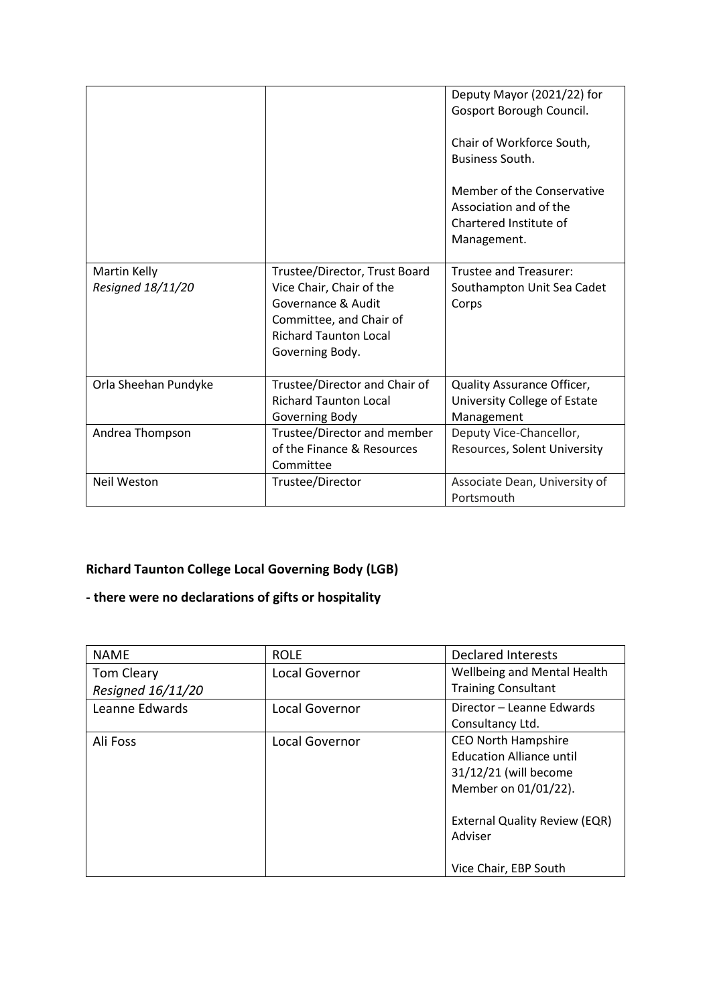|                                   |                                                                                                                                                               | Deputy Mayor (2021/22) for<br>Gosport Borough Council.<br>Chair of Workforce South,<br><b>Business South.</b><br>Member of the Conservative<br>Association and of the<br>Chartered Institute of<br>Management. |
|-----------------------------------|---------------------------------------------------------------------------------------------------------------------------------------------------------------|----------------------------------------------------------------------------------------------------------------------------------------------------------------------------------------------------------------|
| Martin Kelly<br>Resigned 18/11/20 | Trustee/Director, Trust Board<br>Vice Chair, Chair of the<br>Governance & Audit<br>Committee, and Chair of<br><b>Richard Taunton Local</b><br>Governing Body. | <b>Trustee and Treasurer:</b><br>Southampton Unit Sea Cadet<br>Corps                                                                                                                                           |
| Orla Sheehan Pundyke              | Trustee/Director and Chair of<br><b>Richard Taunton Local</b><br>Governing Body                                                                               | Quality Assurance Officer,<br>University College of Estate<br>Management                                                                                                                                       |
| Andrea Thompson                   | Trustee/Director and member<br>of the Finance & Resources<br>Committee                                                                                        | Deputy Vice-Chancellor,<br>Resources, Solent University                                                                                                                                                        |
| Neil Weston                       | Trustee/Director                                                                                                                                              | Associate Dean, University of<br>Portsmouth                                                                                                                                                                    |

#### **Richard Taunton College Local Governing Body (LGB)**

#### **- there were no declarations of gifts or hospitality**

| <b>NAME</b>       | <b>ROLE</b>    | <b>Declared Interests</b>            |
|-------------------|----------------|--------------------------------------|
| <b>Tom Cleary</b> | Local Governor | Wellbeing and Mental Health          |
| Resigned 16/11/20 |                | <b>Training Consultant</b>           |
| Leanne Edwards    | Local Governor | Director - Leanne Edwards            |
|                   |                | Consultancy Ltd.                     |
| Ali Foss          | Local Governor | <b>CEO North Hampshire</b>           |
|                   |                | <b>Education Alliance until</b>      |
|                   |                | 31/12/21 (will become                |
|                   |                | Member on 01/01/22).                 |
|                   |                | <b>External Quality Review (EQR)</b> |
|                   |                | Adviser                              |
|                   |                | Vice Chair, EBP South                |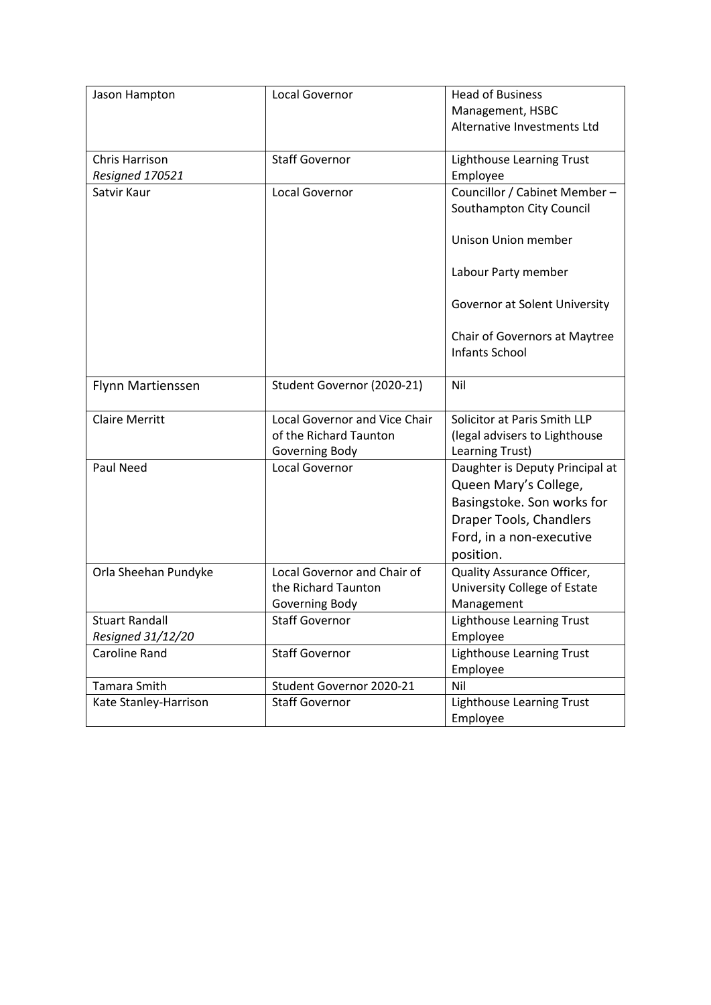| Jason Hampton                              | Local Governor                                                            | <b>Head of Business</b><br>Management, HSBC<br>Alternative Investments Ltd                                                                                 |
|--------------------------------------------|---------------------------------------------------------------------------|------------------------------------------------------------------------------------------------------------------------------------------------------------|
|                                            |                                                                           |                                                                                                                                                            |
| Chris Harrison                             | <b>Staff Governor</b>                                                     | Lighthouse Learning Trust                                                                                                                                  |
| Resigned 170521                            |                                                                           | Employee                                                                                                                                                   |
| Satvir Kaur                                | Local Governor                                                            | Councillor / Cabinet Member-<br>Southampton City Council                                                                                                   |
|                                            |                                                                           | <b>Unison Union member</b>                                                                                                                                 |
|                                            |                                                                           | Labour Party member                                                                                                                                        |
|                                            |                                                                           | Governor at Solent University                                                                                                                              |
|                                            |                                                                           | Chair of Governors at Maytree<br>Infants School                                                                                                            |
| Flynn Martienssen                          | Student Governor (2020-21)                                                | Nil                                                                                                                                                        |
| <b>Claire Merritt</b>                      | Local Governor and Vice Chair<br>of the Richard Taunton<br>Governing Body | Solicitor at Paris Smith LLP<br>(legal advisers to Lighthouse<br>Learning Trust)                                                                           |
| Paul Need                                  | Local Governor                                                            | Daughter is Deputy Principal at<br>Queen Mary's College,<br>Basingstoke. Son works for<br>Draper Tools, Chandlers<br>Ford, in a non-executive<br>position. |
| Orla Sheehan Pundyke                       | Local Governor and Chair of<br>the Richard Taunton<br>Governing Body      | Quality Assurance Officer,<br>University College of Estate<br>Management                                                                                   |
| <b>Stuart Randall</b><br>Resigned 31/12/20 | <b>Staff Governor</b>                                                     | Lighthouse Learning Trust<br>Employee                                                                                                                      |
| <b>Caroline Rand</b>                       | <b>Staff Governor</b>                                                     | Lighthouse Learning Trust<br>Employee                                                                                                                      |
| Tamara Smith                               | Student Governor 2020-21                                                  | Nil                                                                                                                                                        |
| Kate Stanley-Harrison                      | <b>Staff Governor</b>                                                     | Lighthouse Learning Trust<br>Employee                                                                                                                      |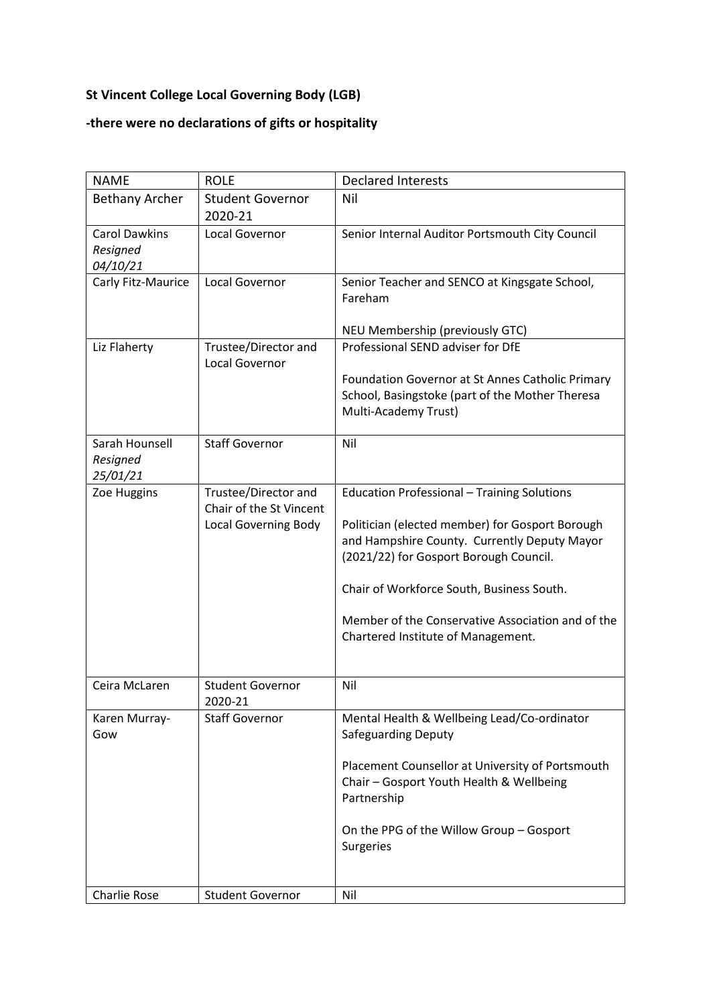#### **St Vincent College Local Governing Body (LGB)**

#### **-there were no declarations of gifts or hospitality**

| <b>NAME</b>                                  | <b>ROLE</b>                                                                    | <b>Declared Interests</b>                                                                                                                                                                                                                                                                                                               |
|----------------------------------------------|--------------------------------------------------------------------------------|-----------------------------------------------------------------------------------------------------------------------------------------------------------------------------------------------------------------------------------------------------------------------------------------------------------------------------------------|
| <b>Bethany Archer</b>                        | <b>Student Governor</b><br>2020-21                                             | Nil                                                                                                                                                                                                                                                                                                                                     |
| <b>Carol Dawkins</b><br>Resigned<br>04/10/21 | Local Governor                                                                 | Senior Internal Auditor Portsmouth City Council                                                                                                                                                                                                                                                                                         |
| Carly Fitz-Maurice                           | Local Governor                                                                 | Senior Teacher and SENCO at Kingsgate School,<br>Fareham                                                                                                                                                                                                                                                                                |
|                                              |                                                                                | NEU Membership (previously GTC)                                                                                                                                                                                                                                                                                                         |
| Liz Flaherty                                 | Trustee/Director and                                                           | Professional SEND adviser for DfE                                                                                                                                                                                                                                                                                                       |
|                                              | Local Governor                                                                 | Foundation Governor at St Annes Catholic Primary<br>School, Basingstoke (part of the Mother Theresa<br>Multi-Academy Trust)                                                                                                                                                                                                             |
| Sarah Hounsell<br>Resigned<br>25/01/21       | <b>Staff Governor</b>                                                          | Nil                                                                                                                                                                                                                                                                                                                                     |
| Zoe Huggins                                  | Trustee/Director and<br>Chair of the St Vincent<br><b>Local Governing Body</b> | <b>Education Professional - Training Solutions</b><br>Politician (elected member) for Gosport Borough<br>and Hampshire County. Currently Deputy Mayor<br>(2021/22) for Gosport Borough Council.<br>Chair of Workforce South, Business South.<br>Member of the Conservative Association and of the<br>Chartered Institute of Management. |
| Ceira McLaren                                | <b>Student Governor</b><br>2020-21                                             | Nil                                                                                                                                                                                                                                                                                                                                     |
| Karen Murray-<br>Gow                         | <b>Staff Governor</b>                                                          | Mental Health & Wellbeing Lead/Co-ordinator<br><b>Safeguarding Deputy</b><br>Placement Counsellor at University of Portsmouth<br>Chair - Gosport Youth Health & Wellbeing<br>Partnership<br>On the PPG of the Willow Group - Gosport<br><b>Surgeries</b>                                                                                |
| Charlie Rose                                 | <b>Student Governor</b>                                                        | Nil                                                                                                                                                                                                                                                                                                                                     |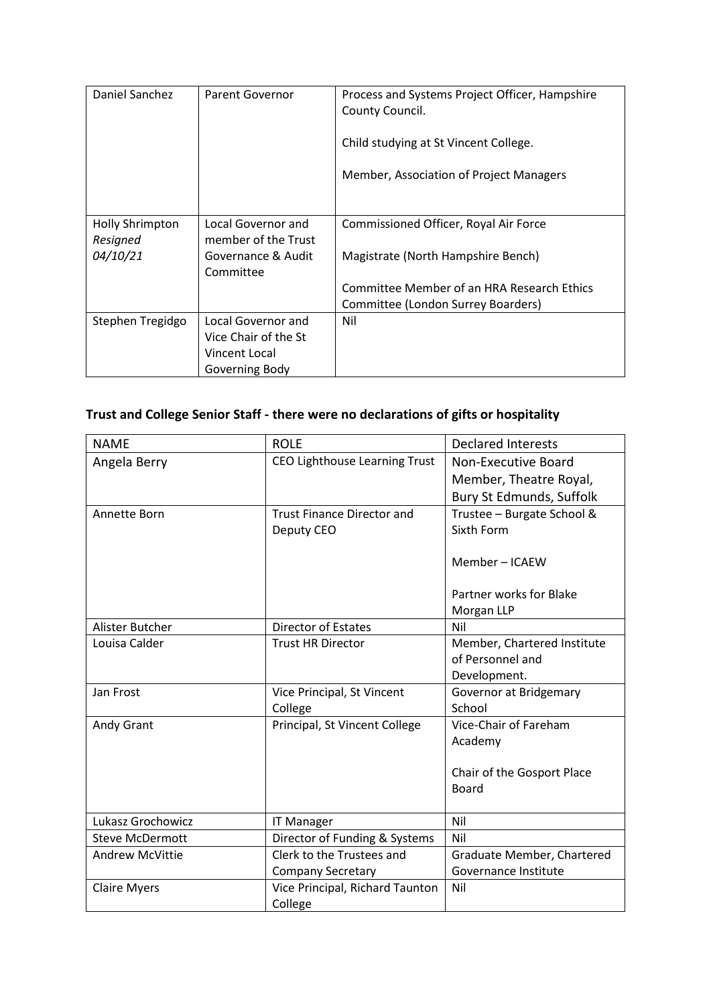| Daniel Sanchez                     | Parent Governor                           | Process and Systems Project Officer, Hampshire<br>County Council.<br>Child studying at St Vincent College.<br>Member, Association of Project Managers |
|------------------------------------|-------------------------------------------|-------------------------------------------------------------------------------------------------------------------------------------------------------|
| <b>Holly Shrimpton</b><br>Resigned | Local Governor and<br>member of the Trust | Commissioned Officer, Royal Air Force                                                                                                                 |
| 04/10/21                           | Governance & Audit<br>Committee           | Magistrate (North Hampshire Bench)                                                                                                                    |
|                                    |                                           | Committee Member of an HRA Research Ethics                                                                                                            |
|                                    |                                           | Committee (London Surrey Boarders)                                                                                                                    |
| Stephen Tregidgo                   | <b>Local Governor and</b>                 | Nil                                                                                                                                                   |
|                                    | Vice Chair of the St                      |                                                                                                                                                       |
|                                    | Vincent Local                             |                                                                                                                                                       |
|                                    | Governing Body                            |                                                                                                                                                       |

## **Trust and College Senior Staff - there were no declarations of gifts or hospitality**

| <b>NAME</b>            | <b>ROLE</b>                          | <b>Declared Interests</b>                  |
|------------------------|--------------------------------------|--------------------------------------------|
| Angela Berry           | <b>CEO Lighthouse Learning Trust</b> | Non-Executive Board                        |
|                        |                                      | Member, Theatre Royal,                     |
|                        |                                      | Bury St Edmunds, Suffolk                   |
| Annette Born           | <b>Trust Finance Director and</b>    | Trustee - Burgate School &                 |
|                        | Deputy CEO                           | Sixth Form                                 |
|                        |                                      | Member-ICAEW                               |
|                        |                                      | Partner works for Blake                    |
|                        |                                      | Morgan LLP                                 |
| Alister Butcher        | <b>Director of Estates</b>           | Nil                                        |
| Louisa Calder          | <b>Trust HR Director</b>             | Member, Chartered Institute                |
|                        |                                      | of Personnel and                           |
|                        |                                      | Development.                               |
| Jan Frost              | Vice Principal, St Vincent           | Governor at Bridgemary                     |
|                        | College                              | School                                     |
| Andy Grant             | Principal, St Vincent College        | Vice-Chair of Fareham                      |
|                        |                                      | Academy                                    |
|                        |                                      |                                            |
|                        |                                      | Chair of the Gosport Place<br><b>Board</b> |
|                        |                                      |                                            |
| Lukasz Grochowicz      | <b>IT Manager</b>                    | Nil                                        |
| <b>Steve McDermott</b> | Director of Funding & Systems        | Nil                                        |
| <b>Andrew McVittie</b> | Clerk to the Trustees and            | Graduate Member, Chartered                 |
|                        | <b>Company Secretary</b>             | Governance Institute                       |
| <b>Claire Myers</b>    | Vice Principal, Richard Taunton      | Nil                                        |
|                        | College                              |                                            |